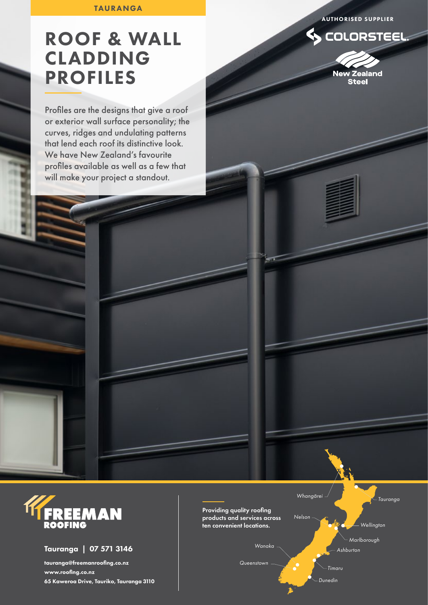AUTHORISED SUPPLIER

S COLORSTEEL

# TAURANGA

# ROOF & WALL CLADDING PROFILES

Profiles are the designs that give a roof or exterior wall surface personality; the curves, ridges and undulating patterns that lend each roof its distinctive look. We have New Zealand's favourite profiles available as well as a few that will make your project a standout.





Tauranga | 07 571 3146

tauranga@freemanroofing.co.nz www.roofing.co.nz 65 Kaweroa Drive, Tauriko, Tauranga 3110

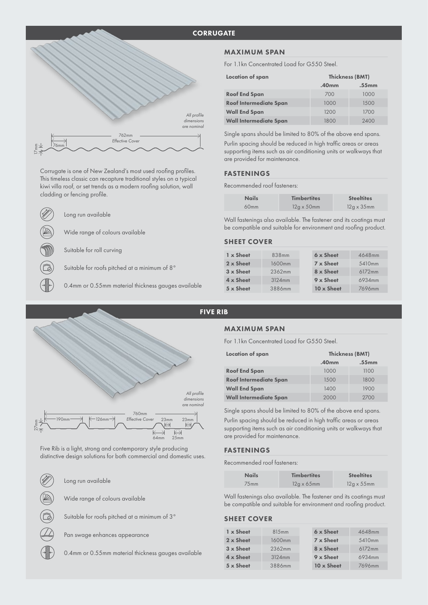# **CORRUGATE**



Corrugate is one of New Zealand's most used roofing profiles. This timeless classic can recapture traditional styles on a typical kiwi villa roof, or set trends as a modern roofing solution, wall cladding or fencing profile.

Long run available

Wide range of colours available

Suitable for roll curving

Suitable for roofs pitched at a minimum of 8°

0.4mm or 0.55mm material thickness gauges available



For 1.1kn Concentrated Load for G550 Steel.

| <b>Location of span</b>       | <b>Thickness (BMT)</b> |       |
|-------------------------------|------------------------|-------|
|                               | .40 <sub>mm</sub>      | .55mm |
| <b>Roof End Span</b>          | 700                    | 1000  |
| <b>Roof Intermediate Span</b> | 1000                   | 1500  |
| <b>Wall End Span</b>          | 1200                   | 1700  |
| <b>Wall Intermediate Span</b> | 1800                   | 2400  |

Single spans should be limited to 80% of the above end spans.

Purlin spacing should be reduced in high traffic areas or areas supporting items such as air conditioning units or walkways that are provided for maintenance.

#### FASTENINGS

Recommended roof fasteners:

| <b>Nails</b> | <b>Timbertites</b> | <b>Steeltites</b>  |
|--------------|--------------------|--------------------|
| 60mm         | $12q \times 50$ mm | $12q \times 35$ mm |

Wall fastenings also available. The fastener and its coatings must be compatible and suitable for environment and roofing product.

# SHEET COVER

| 1 x Sheet        | 838mm  | 6 x Sheet  | 4648mm             |
|------------------|--------|------------|--------------------|
| 2 x Sheet        | 1600mm | 7 x Sheet  | 5410 <sub>mm</sub> |
| $3 \times$ Sheet | 2362mm | 8 x Sheet  | 6172mm             |
| $4 \times$ Sheet | 3124mm | 9 x Sheet  | 6934mm             |
| 5 x Sheet        | 3886mm | 10 x Sheet | 7696mm             |

# FIVE RIB

# MAXIMUM SPAN

For 1.1kn Concentrated Load for G550 Steel.

| <b>Thickness (BMT)</b> |       |
|------------------------|-------|
| .40 <sub>mm</sub>      | .55mm |
| 1000                   | 1100  |
| 1500                   | 1800  |
| 1400                   | 1900  |
| 2000                   | 2700  |
|                        |       |

Single spans should be limited to 80% of the above end spans.

Purlin spacing should be reduced in high traffic areas or areas supporting items such as air conditioning units or walkways that are provided for maintenance.

# FASTENINGS

Recommended roof fasteners:

| <b>Nails</b>     | <b>Timbertites</b> | <b>Steeltites</b>  |
|------------------|--------------------|--------------------|
| 75 <sub>mm</sub> | $12q \times 65$ mm | $12q \times 55$ mm |

Wall fastenings also available. The fastener and its coatings must be compatible and suitable for environment and roofing product.

# SHEET COVER

| 1 x Sheet        | 815mm  | 6 x Sheet  | 4648mm |
|------------------|--------|------------|--------|
| 2 x Sheet        | 1600mm | 7 x Sheet  | 5410mm |
| $3 \times$ Sheet | 2362mm | 8 x Sheet  | 6172mm |
| 4 x Sheet        | 3124mm | 9 x Sheet  | 6934mm |
| 5 x Sheet        | 3886mm | 10 x Sheet | 7696mm |



Five Rib is a light, strong and contemporary style producing distinctive design solutions for both commercial and domestic uses.

Long run available

Wide range of colours available

Suitable for roofs pitched at a minimum of 3°

Pan swage enhances appearance

0.4mm or 0.55mm material thickness gauges available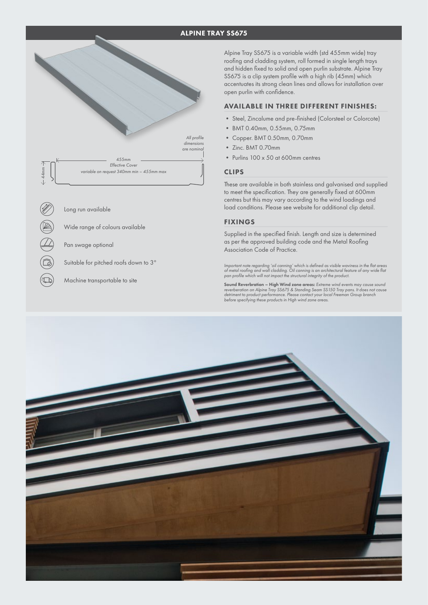# ALPINE TRAY SS675



Long run available

Wide range of colours available

Pan swage optional

Suitable for pitched roofs down to 3°

Machine transportable to site

Alpine Tray SS675 is a variable width (std 455mm wide) tray roofing and cladding system, roll formed in single length trays and hidden fixed to solid and open purlin substrate. Alpine Tray SS675 is a clip system profile with a high rib (45mm) which accentuates its strong clean lines and allows for installation over open purlin with confidence.

# AVAILABLE IN THREE DIFFERENT FINISHES:

- Steel, Zincalume and pre-finished (Colorsteel or Colorcote)
- BMT 0.40mm, 0.55mm, 0.75mm
- Copper. BMT 0.50mm, 0.70mm
- Zinc. BMT 0.70mm
- Purlins 100 x 50 at 600mm centres

# CLIPS

These are available in both stainless and galvanised and supplied to meet the specification. They are generally fixed at 600mm centres but this may vary according to the wind loadings and load conditions. Please see website for additional clip detail.

#### FIXINGS

Supplied in the specified finish. Length and size is determined as per the approved building code and the Metal Roofing Association Code of Practice.

Important note regarding 'oil canning' which is defined as visible waviness in the flat areas<br>of metal roofing and wall cladding. Oil canning is an architectural feature of any wide flat<br>pan profile which will not impact t

**Sound Reverbration – High Wind zone areas:** Extreme wind events may cause sound<br>reverberation on Alpine Tray SS675 & Standing Seam SS150 Tray pans. It does not cause<br>detriment to product performance. Please contact your l *before specifying these products in High wind zone areas.*